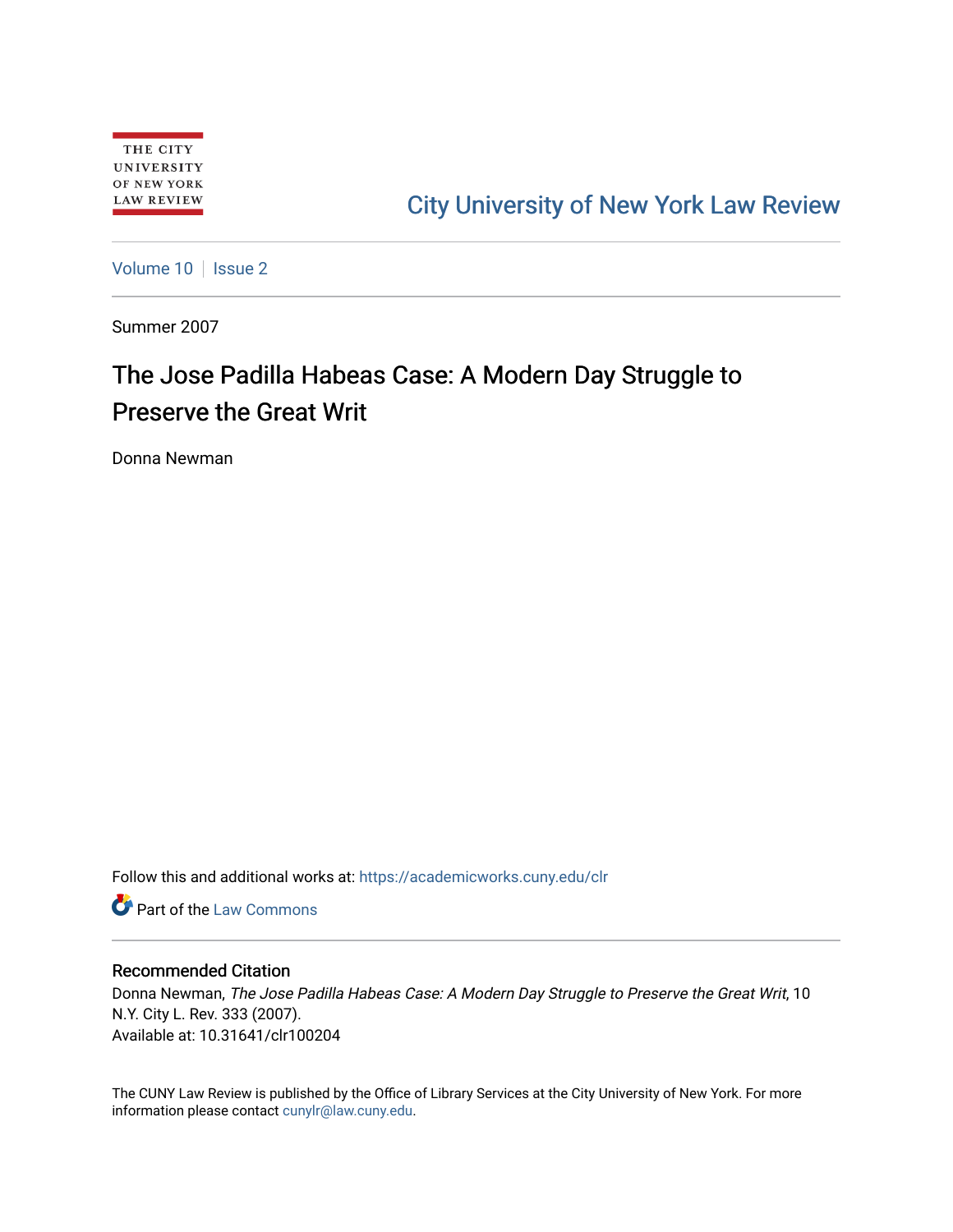## [City University of New York Law Review](https://academicworks.cuny.edu/clr)

[Volume 10](https://academicworks.cuny.edu/clr/vol10) | [Issue 2](https://academicworks.cuny.edu/clr/vol10/iss2)

Summer 2007

# The Jose Padilla Habeas Case: A Modern Day Struggle to Preserve the Great Writ

Donna Newman

Follow this and additional works at: [https://academicworks.cuny.edu/clr](https://academicworks.cuny.edu/clr?utm_source=academicworks.cuny.edu%2Fclr%2Fvol10%2Fiss2%2F5&utm_medium=PDF&utm_campaign=PDFCoverPages) 

**C** Part of the [Law Commons](http://network.bepress.com/hgg/discipline/578?utm_source=academicworks.cuny.edu%2Fclr%2Fvol10%2Fiss2%2F5&utm_medium=PDF&utm_campaign=PDFCoverPages)

#### Recommended Citation

Donna Newman, The Jose Padilla Habeas Case: A Modern Day Struggle to Preserve the Great Writ, 10 N.Y. City L. Rev. 333 (2007). Available at: 10.31641/clr100204

The CUNY Law Review is published by the Office of Library Services at the City University of New York. For more information please contact [cunylr@law.cuny.edu](mailto:cunylr@law.cuny.edu).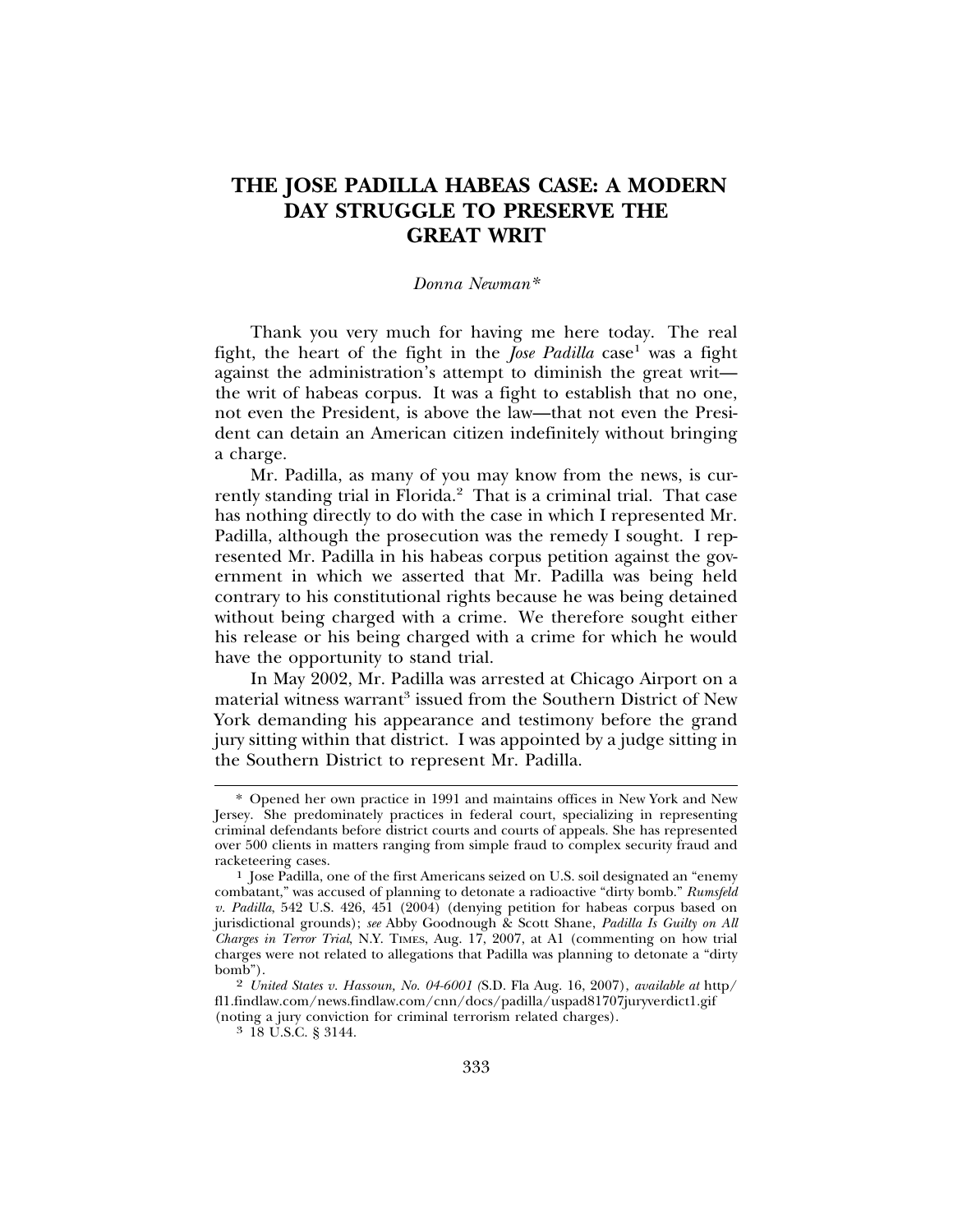### **THE JOSE PADILLA HABEAS CASE: A MODERN DAY STRUGGLE TO PRESERVE THE GREAT WRIT**

#### *Donna Newman\**

Thank you very much for having me here today. The real fight, the heart of the fight in the *Jose Padilla* case<sup>1</sup> was a fight against the administration's attempt to diminish the great writ the writ of habeas corpus. It was a fight to establish that no one, not even the President, is above the law—that not even the President can detain an American citizen indefinitely without bringing a charge.

Mr. Padilla, as many of you may know from the news, is currently standing trial in Florida.<sup>2</sup> That is a criminal trial. That case has nothing directly to do with the case in which I represented Mr. Padilla, although the prosecution was the remedy I sought. I represented Mr. Padilla in his habeas corpus petition against the government in which we asserted that Mr. Padilla was being held contrary to his constitutional rights because he was being detained without being charged with a crime. We therefore sought either his release or his being charged with a crime for which he would have the opportunity to stand trial.

In May 2002, Mr. Padilla was arrested at Chicago Airport on a material witness warrant<sup>3</sup> issued from the Southern District of New York demanding his appearance and testimony before the grand jury sitting within that district. I was appointed by a judge sitting in the Southern District to represent Mr. Padilla.

<sup>\*</sup> Opened her own practice in 1991 and maintains offices in New York and New Jersey. She predominately practices in federal court, specializing in representing criminal defendants before district courts and courts of appeals. She has represented over 500 clients in matters ranging from simple fraud to complex security fraud and

 $1$  Jose Padilla, one of the first Americans seized on U.S. soil designated an "enemy combatant," was accused of planning to detonate a radioactive "dirty bomb." *Rumsfeld v. Padilla*, 542 U.S. 426, 451 (2004) (denying petition for habeas corpus based on jurisdictional grounds); *see* Abby Goodnough & Scott Shane, *Padilla Is Guilty on All Charges in Terror Trial*, N.Y. TIMES, Aug. 17, 2007, at A1 (commenting on how trial charges were not related to allegations that Padilla was planning to detonate a "dirty bomb").

<sup>2</sup> *United States v. Hassoun, No. 04-6001 (*S.D. Fla Aug. 16, 2007), *available at* http/ fl1.findlaw.com/news.findlaw.com/cnn/docs/padilla/uspad81707juryverdict1.gif (noting a jury conviction for criminal terrorism related charges). <sup>3</sup> 18 U.S.C. § 3144.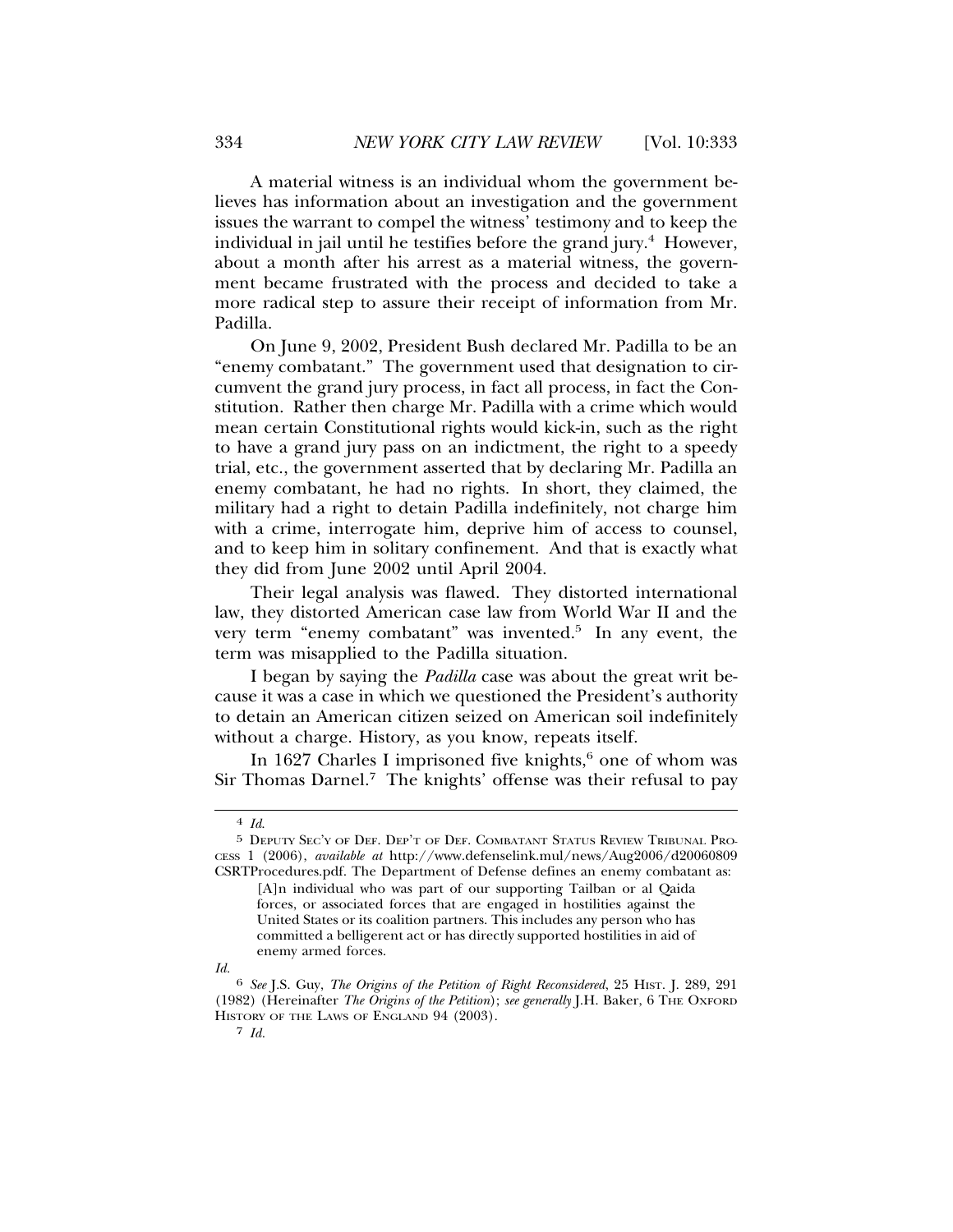A material witness is an individual whom the government believes has information about an investigation and the government issues the warrant to compel the witness' testimony and to keep the individual in jail until he testifies before the grand jury.<sup>4</sup> However, about a month after his arrest as a material witness, the government became frustrated with the process and decided to take a more radical step to assure their receipt of information from Mr. Padilla.

On June 9, 2002, President Bush declared Mr. Padilla to be an "enemy combatant." The government used that designation to circumvent the grand jury process, in fact all process, in fact the Constitution. Rather then charge Mr. Padilla with a crime which would mean certain Constitutional rights would kick-in, such as the right to have a grand jury pass on an indictment, the right to a speedy trial, etc., the government asserted that by declaring Mr. Padilla an enemy combatant, he had no rights. In short, they claimed, the military had a right to detain Padilla indefinitely, not charge him with a crime, interrogate him, deprive him of access to counsel, and to keep him in solitary confinement. And that is exactly what they did from June 2002 until April 2004.

Their legal analysis was flawed. They distorted international law, they distorted American case law from World War II and the very term "enemy combatant" was invented.<sup>5</sup> In any event, the term was misapplied to the Padilla situation.

I began by saying the *Padilla* case was about the great writ because it was a case in which we questioned the President's authority to detain an American citizen seized on American soil indefinitely without a charge. History, as you know, repeats itself.

In 1627 Charles I imprisoned five knights,<sup>6</sup> one of whom was Sir Thomas Darnel.7 The knights' offense was their refusal to pay

<sup>4</sup> *Id*.

<sup>5</sup> DEPUTY SEC'Y OF DEF. DEP'T OF DEF. COMBATANT STATUS REVIEW TRIBUNAL PRO-CESS 1 (2006), *available at* http://www.defenselink.mul/news/Aug2006/d20060809 CSRTProcedures.pdf. The Department of Defense defines an enemy combatant as:

<sup>[</sup>A]n individual who was part of our supporting Tailban or al Qaida forces, or associated forces that are engaged in hostilities against the United States or its coalition partners. This includes any person who has committed a belligerent act or has directly supported hostilities in aid of enemy armed forces.

*Id.*

<sup>6</sup> *See* J.S. Guy, *The Origins of the Petition of Right Reconsidered*, 25 HIST. J. 289, 291 (1982) (Hereinafter *The Origins of the Petition*); *see generally J.H. Baker*, 6 THE OXFORD HISTORY OF THE LAWS OF ENGLAND 94 (2003).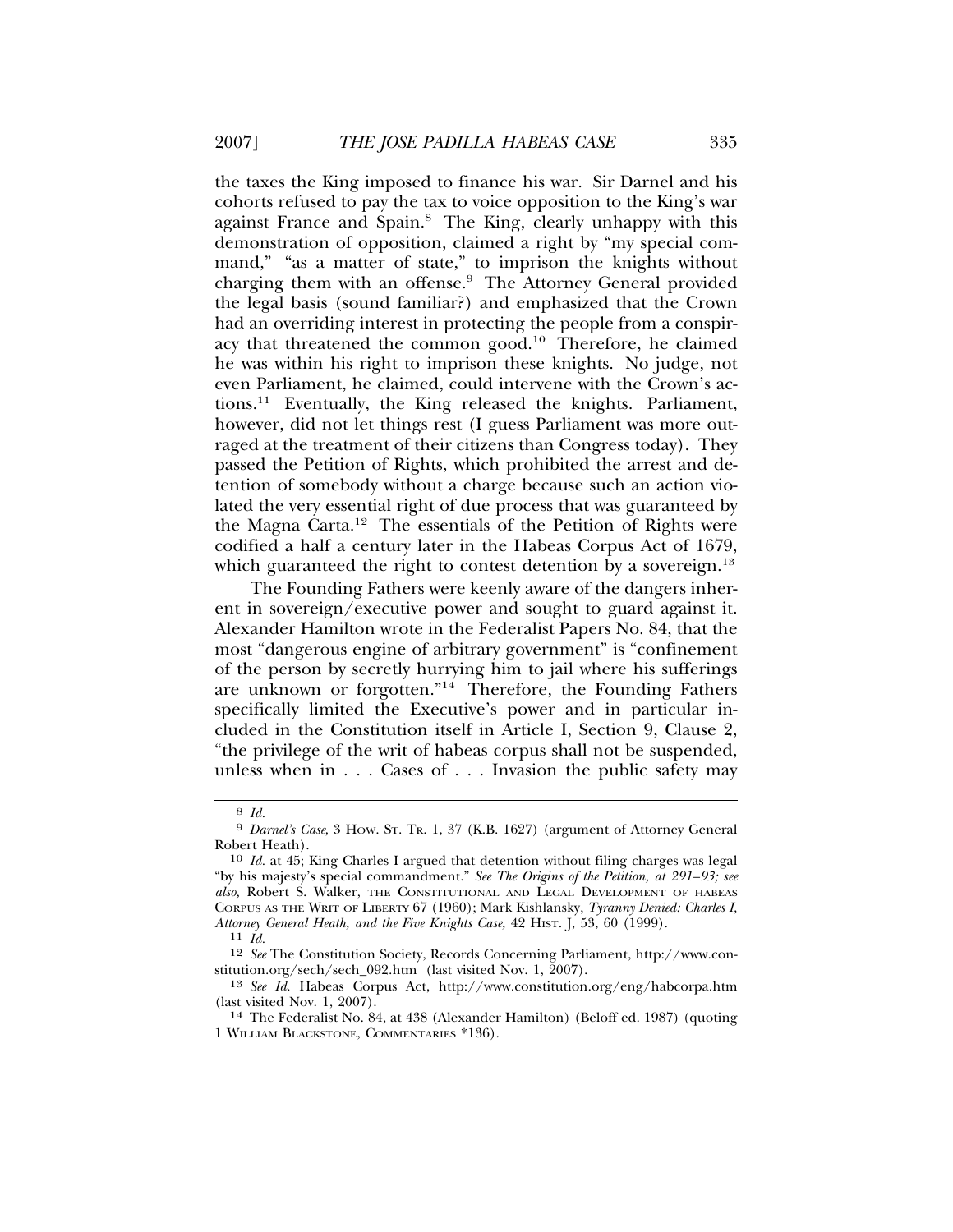the taxes the King imposed to finance his war. Sir Darnel and his cohorts refused to pay the tax to voice opposition to the King's war against France and Spain.8 The King, clearly unhappy with this demonstration of opposition, claimed a right by "my special command," "as a matter of state," to imprison the knights without charging them with an offense.9 The Attorney General provided the legal basis (sound familiar?) and emphasized that the Crown had an overriding interest in protecting the people from a conspiracy that threatened the common good.10 Therefore, he claimed he was within his right to imprison these knights. No judge, not even Parliament, he claimed, could intervene with the Crown's actions.11 Eventually, the King released the knights. Parliament, however, did not let things rest (I guess Parliament was more outraged at the treatment of their citizens than Congress today). They passed the Petition of Rights, which prohibited the arrest and detention of somebody without a charge because such an action violated the very essential right of due process that was guaranteed by the Magna Carta.12 The essentials of the Petition of Rights were codified a half a century later in the Habeas Corpus Act of 1679, which guaranteed the right to contest detention by a sovereign.<sup>13</sup>

The Founding Fathers were keenly aware of the dangers inherent in sovereign/executive power and sought to guard against it. Alexander Hamilton wrote in the Federalist Papers No. 84, that the most "dangerous engine of arbitrary government" is "confinement of the person by secretly hurrying him to jail where his sufferings are unknown or forgotten."14 Therefore, the Founding Fathers specifically limited the Executive's power and in particular included in the Constitution itself in Article I, Section 9, Clause 2, "the privilege of the writ of habeas corpus shall not be suspended, unless when in . . . Cases of . . . Invasion the public safety may

<sup>8</sup> *Id.* <sup>9</sup> *Darnel's Case*, 3 HOW. ST. TR. 1, 37 (K.B. 1627) (argument of Attorney General Robert Heath).

<sup>10</sup> *Id.* at 45; King Charles I argued that detention without filing charges was legal "by his majesty's special commandment." *See The Origins of the Petition, at 291–93; see also,* Robert S. Walker, THE CONSTITUTIONAL AND LEGAL DEVELOPMENT OF HABEAS CORPUS AS THE WRIT OF LIBERTY 67 (1960); Mark Kishlansky, *Tyranny Denied: Charles I, Attorney General Heath, and the Five Knights Case,* 42 HIST. J, 53, 60 (1999). <sup>11</sup> *Id.*

<sup>12</sup> *See* The Constitution Society, Records Concerning Parliament, http://www.constitution.org/sech/sech\_092.htm (last visited Nov. 1, 2007).

<sup>13</sup> *See Id.* Habeas Corpus Act, http://www.constitution.org/eng/habcorpa.htm

<sup>&</sup>lt;sup>14</sup> The Federalist No. 84, at 438 (Alexander Hamilton) (Beloff ed. 1987) (quoting 1 WILLIAM BLACKSTONE, COMMENTARIES \*136).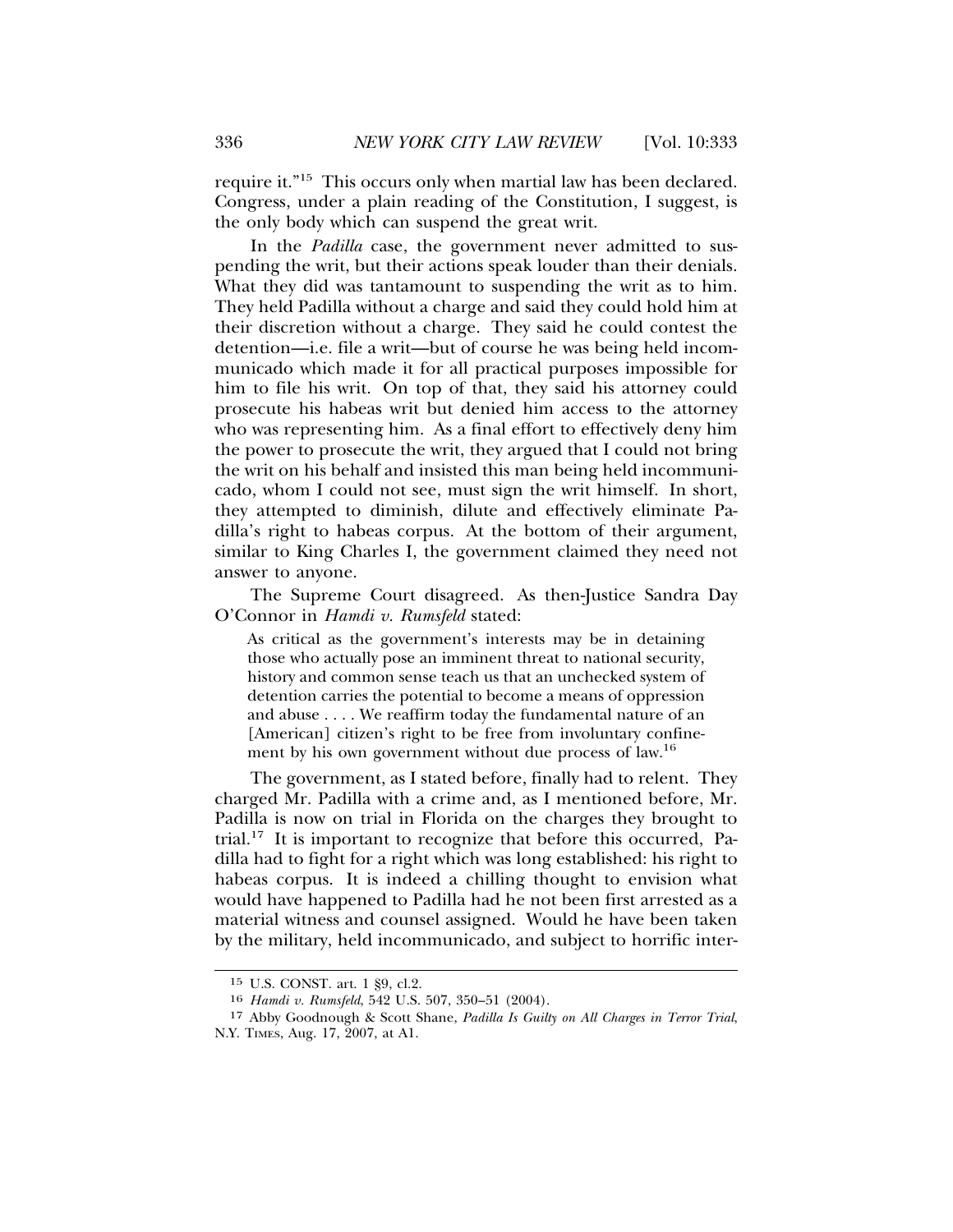require it."15 This occurs only when martial law has been declared. Congress, under a plain reading of the Constitution, I suggest, is the only body which can suspend the great writ.

In the *Padilla* case, the government never admitted to suspending the writ, but their actions speak louder than their denials. What they did was tantamount to suspending the writ as to him. They held Padilla without a charge and said they could hold him at their discretion without a charge. They said he could contest the detention—i.e. file a writ—but of course he was being held incommunicado which made it for all practical purposes impossible for him to file his writ. On top of that, they said his attorney could prosecute his habeas writ but denied him access to the attorney who was representing him. As a final effort to effectively deny him the power to prosecute the writ, they argued that I could not bring the writ on his behalf and insisted this man being held incommunicado, whom I could not see, must sign the writ himself. In short, they attempted to diminish, dilute and effectively eliminate Padilla's right to habeas corpus. At the bottom of their argument, similar to King Charles I, the government claimed they need not answer to anyone.

The Supreme Court disagreed. As then-Justice Sandra Day O'Connor in *Hamdi v. Rumsfeld* stated:

As critical as the government's interests may be in detaining those who actually pose an imminent threat to national security, history and common sense teach us that an unchecked system of detention carries the potential to become a means of oppression and abuse . . . . We reaffirm today the fundamental nature of an [American] citizen's right to be free from involuntary confinement by his own government without due process of law.<sup>16</sup>

The government, as I stated before, finally had to relent. They charged Mr. Padilla with a crime and, as I mentioned before, Mr. Padilla is now on trial in Florida on the charges they brought to trial.17 It is important to recognize that before this occurred, Padilla had to fight for a right which was long established: his right to habeas corpus. It is indeed a chilling thought to envision what would have happened to Padilla had he not been first arrested as a material witness and counsel assigned. Would he have been taken by the military, held incommunicado, and subject to horrific inter-

<sup>15</sup> U.S. CONST. art. 1 §9, cl.2.

<sup>16</sup> *Hamdi v. Rumsfeld*, 542 U.S. 507, 350–51 (2004).

<sup>17</sup> Abby Goodnough & Scott Shane, *Padilla Is Guilty on All Charges in Terror Trial*, N.Y. TIMES, Aug. 17, 2007, at A1.